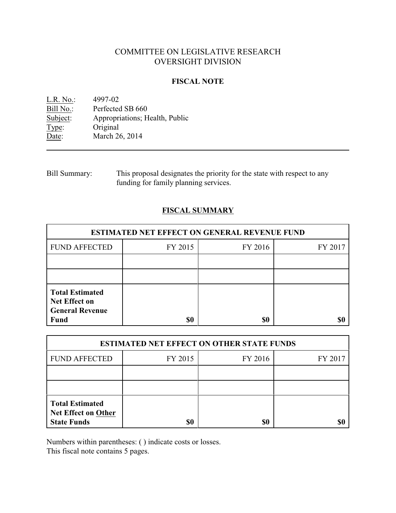# COMMITTEE ON LEGISLATIVE RESEARCH OVERSIGHT DIVISION

#### **FISCAL NOTE**

<u>L.R. No.</u>: 4997-02<br>
<u>Bill No.</u>: Perfected Bill No.: Perfected SB 660<br>Subject: Appropriations; H Appropriations; Health, Public Type: Original Date: March 26, 2014

Bill Summary: This proposal designates the priority for the state with respect to any funding for family planning services.

## **FISCAL SUMMARY**

| <b>ESTIMATED NET EFFECT ON GENERAL REVENUE FUND</b>                                     |         |         |         |  |
|-----------------------------------------------------------------------------------------|---------|---------|---------|--|
| <b>FUND AFFECTED</b>                                                                    | FY 2015 | FY 2016 | FY 2017 |  |
|                                                                                         |         |         |         |  |
|                                                                                         |         |         |         |  |
| <b>Total Estimated</b><br><b>Net Effect on</b><br><b>General Revenue</b><br><b>Fund</b> | \$0     | \$0     |         |  |

| <b>ESTIMATED NET EFFECT ON OTHER STATE FUNDS</b>                           |         |         |         |  |
|----------------------------------------------------------------------------|---------|---------|---------|--|
| <b>FUND AFFECTED</b>                                                       | FY 2015 | FY 2016 | FY 2017 |  |
|                                                                            |         |         |         |  |
|                                                                            |         |         |         |  |
| <b>Total Estimated</b><br><b>Net Effect on Other</b><br><b>State Funds</b> | \$0     | \$0     |         |  |

Numbers within parentheses: ( ) indicate costs or losses.

This fiscal note contains 5 pages.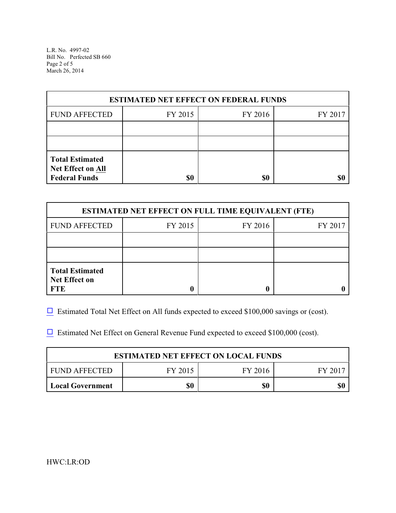L.R. No. 4997-02 Bill No. Perfected SB 660 Page 2 of 5 March 26, 2014

| <b>ESTIMATED NET EFFECT ON FEDERAL FUNDS</b>                        |         |         |         |  |
|---------------------------------------------------------------------|---------|---------|---------|--|
| <b>FUND AFFECTED</b>                                                | FY 2015 | FY 2016 | FY 2017 |  |
|                                                                     |         |         |         |  |
|                                                                     |         |         |         |  |
| <b>Total Estimated</b><br>Net Effect on All<br><b>Federal Funds</b> | \$0     | \$0     | \$0     |  |

| <b>ESTIMATED NET EFFECT ON FULL TIME EQUIVALENT (FTE)</b>    |         |         |         |  |
|--------------------------------------------------------------|---------|---------|---------|--|
| <b>FUND AFFECTED</b>                                         | FY 2015 | FY 2016 | FY 2017 |  |
|                                                              |         |         |         |  |
|                                                              |         |         |         |  |
| <b>Total Estimated</b><br><b>Net Effect on</b><br><b>FTE</b> |         |         |         |  |

 $\Box$  Estimated Total Net Effect on All funds expected to exceed \$100,000 savings or (cost).

 $\Box$  Estimated Net Effect on General Revenue Fund expected to exceed \$100,000 (cost).

| <b>ESTIMATED NET EFFECT ON LOCAL FUNDS</b> |         |         |        |
|--------------------------------------------|---------|---------|--------|
| FUND AFFECTED                              | FY 2015 | FY 2016 | FY 201 |
| <b>Local Government</b>                    | \$0     | \$0     | \$0    |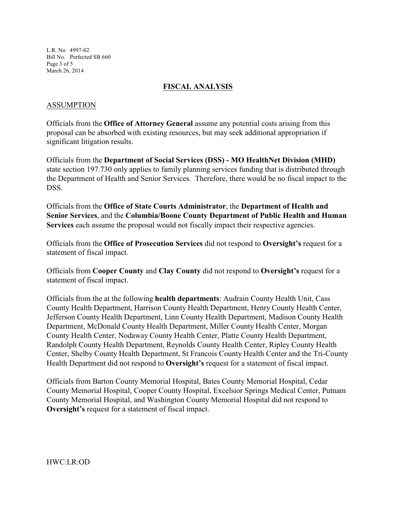L.R. No. 4997-02 Bill No. Perfected SB 660 Page 3 of 5 March 26, 2014

#### **FISCAL ANALYSIS**

#### ASSUMPTION

Officials from the **Office of Attorney General** assume any potential costs arising from this proposal can be absorbed with existing resources, but may seek additional appropriation if significant litigation results.

Officials from the **Department of Social Services (DSS) - MO HealthNet Division (MHD)** state section 197.730 only applies to family planning services funding that is distributed through the Department of Health and Senior Services. Therefore, there would be no fiscal impact to the DSS.

Officials from the **Office of State Courts Administrator**, the **Department of Health and Senior Services**, and the **Columbia/Boone County Department of Public Health and Human Services** each assume the proposal would not fiscally impact their respective agencies.

Officials from the **Office of Prosecution Services** did not respond to **Oversight's** request for a statement of fiscal impact.

Officials from **Cooper County** and **Clay County** did not respond to **Oversight's** request for a statement of fiscal impact.

Officials from the at the following **health departments**: Audrain County Health Unit, Cass County Health Department, Harrison County Health Department, Henry County Health Center, Jefferson County Health Department, Linn County Health Department, Madison County Health Department, McDonald County Health Department, Miller County Health Center, Morgan County Health Center, Nodaway County Health Center, Platte County Health Department, Randolph County Health Department, Reynolds County Health Center, Ripley County Health Center, Shelby County Health Department, St Francois County Health Center and the Tri-County Health Department did not respond to **Oversight's** request for a statement of fiscal impact.

Officials from Barton County Memorial Hospital, Bates County Memorial Hospital, Cedar County Memorial Hospital, Cooper County Hospital, Excelsior Springs Medical Center, Putnam County Memorial Hospital, and Washington County Memorial Hospital did not respond to **Oversight's** request for a statement of fiscal impact.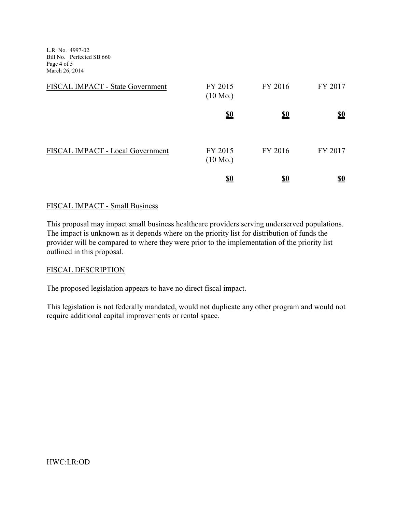L.R. No. 4997-02 Bill No. Perfected SB 660 Page 4 of 5 March 26, 2014

|                                  | <u>\$0</u>                    | <u>\$0</u> | <u>\$0</u>                    |
|----------------------------------|-------------------------------|------------|-------------------------------|
| FISCAL IMPACT - Local Government | FY 2015<br>$(10 \text{ Mo.})$ | FY 2016    | FY 2017                       |
|                                  | $\underline{\underline{\$0}}$ | <u>\$0</u> | $\underline{\underline{\$0}}$ |
| FISCAL IMPACT - State Government | FY 2015<br>$(10 \text{ Mo.})$ | FY 2016    | FY 2017                       |

### FISCAL IMPACT - Small Business

This proposal may impact small business healthcare providers serving underserved populations. The impact is unknown as it depends where on the priority list for distribution of funds the provider will be compared to where they were prior to the implementation of the priority list outlined in this proposal.

#### FISCAL DESCRIPTION

The proposed legislation appears to have no direct fiscal impact.

This legislation is not federally mandated, would not duplicate any other program and would not require additional capital improvements or rental space.